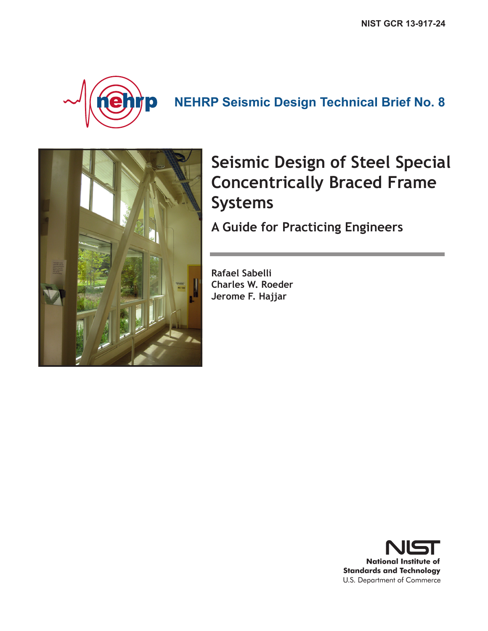

## **NEHRP Seismic Design Technical Brief No. 8**



# **Seismic Design of Steel Special Concentrically Braced Frame Systems**

**A Guide for Practicing Engineers**

**Rafael Sabelli Charles W. Roeder Jerome F. Hajjar**

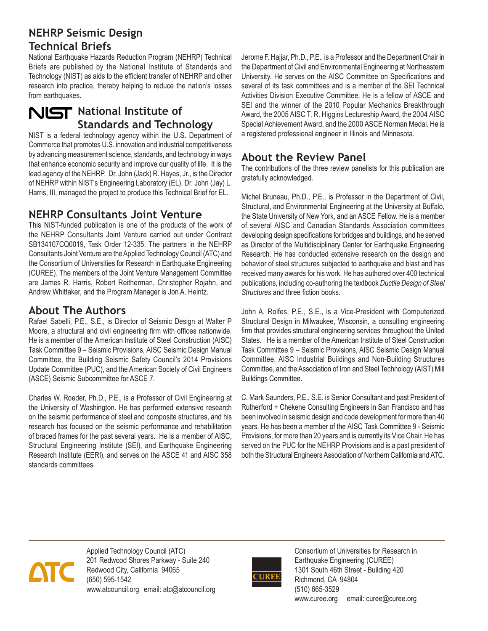#### **NEHRP Seismic Design Technical Briefs**

National Earthquake Hazards Reduction Program (NEHRP) Technical Briefs are published by the National Institute of Standards and Technology (NIST) as aids to the efficient transfer of NEHRP and other research into practice, thereby helping to reduce the nation's losses from earthquakes.

### **NIST** National Institute of **Standards and Technology**

NIST is a federal technology agency within the U.S. Department of Commerce that promotes U.S. innovation and industrial competitiveness by advancing measurement science, standards, and technology in ways that enhance economic security and improve our quality of life. It is the lead agency of the NEHRP. Dr. John (Jack) R. Hayes, Jr., is the Director of NEHRP within NIST's Engineering Laboratory (EL). Dr. John (Jay) L. Harris, III, managed the project to produce this Technical Brief for EL.

### **NEHRP Consultants Joint Venture**

This NIST-funded publication is one of the products of the work of the NEHRP Consultants Joint Venture carried out under Contract SB134107CQ0019, Task Order 12-335. The partners in the NEHRP Consultants Joint Venture are the Applied Technology Council (ATC) and the Consortium of Universities for Research in Earthquake Engineering (CUREE). The members of the Joint Venture Management Committee are James R. Harris, Robert Reitherman, Christopher Rojahn, and Andrew Whittaker, and the Program Manager is Jon A. Heintz.

#### **About The Authors**

Rafael Sabelli, P.E., S.E., is Director of Seismic Design at Walter P Moore, a structural and civil engineering firm with offices nationwide. He is a member of the American Institute of Steel Construction (AISC) Task Committee 9 – Seismic Provisions, AISC Seismic Design Manual Committee, the Building Seismic Safety Council's 2014 Provisions Update Committee (PUC), and the American Society of Civil Engineers (ASCE) Seismic Subcommittee for ASCE 7.

Charles W. Roeder, Ph.D., P.E., is a Professor of Civil Engineering at the University of Washington. He has performed extensive research on the seismic performance of steel and composite structures, and his research has focused on the seismic performance and rehabilitation of braced frames for the past several years. He is a member of AISC, Structural Engineering Institute (SEI), and Earthquake Engineering Research Institute (EERI), and serves on the ASCE 41 and AISC 358 standards committees.

Jerome F. Hajjar, Ph.D., P.E., is a Professor and the Department Chair in the Department of Civil and Environmental Engineering at Northeastern University. He serves on the AISC Committee on Specifications and several of its task committees and is a member of the SEI Technical Activities Division Executive Committee. He is a fellow of ASCE and SEI and the winner of the 2010 Popular Mechanics Breakthrough Award, the 2005 AISC T. R. Higgins Lectureship Award, the 2004 AISC Special Achievement Award, and the 2000 ASCE Norman Medal. He is a registered professional engineer in Illinois and Minnesota.

#### **About the Review Panel**

The contributions of the three review panelists for this publication are gratefully acknowledged.

Michel Bruneau, Ph.D., P.E., is Professor in the Department of Civil, Structural, and Environmental Engineering at the University at Buffalo, the State University of New York, and an ASCE Fellow. He is a member of several AISC and Canadian Standards Association committees developing design specifications for bridges and buildings, and he served as Director of the Multidisciplinary Center for Earthquake Engineering Research. He has conducted extensive research on the design and behavior of steel structures subjected to earthquake and blast and has received many awards for his work. He has authored over 400 technical publications, including co-authoring the textbook *Ductile Design of Steel Structures* and three fiction books.

John A. Rolfes, P.E., S.E., is a Vice-President with Computerized Structural Design in Milwaukee, Wisconsin, a consulting engineering firm that provides structural engineering services throughout the United States. He is a member of the American Institute of Steel Construction Task Committee 9 – Seismic Provisions, AISC Seismic Design Manual Committee, AISC Industrial Buildings and Non-Building Structures Committee, and the Association of Iron and Steel Technology (AIST) Mill Buildings Committee.

C. Mark Saunders, P.E., S.E. is Senior Consultant and past President of Rutherford + Chekene Consulting Engineers in San Francisco and has been involved in seismic design and code development for more than 40 years. He has been a member of the AISC Task Committee 9 - Seismic Provisions, for more than 20 years and is currently its Vice Chair. He has served on the PUC for the NEHRP Provisions and is a past president of both the Structural Engineers Association of Northern California and ATC.



Applied Technology Council (ATC) 201 Redwood Shores Parkway - Suite 240 Redwood City, California 94065 (650) 595-1542 www.atcouncil.org email: atc@atcouncil.org



Consortium of Universities for Research in Earthquake Engineering (CUREE) 1301 South 46th Street - Building 420 Richmond, CA 94804 (510) 665-3529 www.curee.org email: curee@curee.org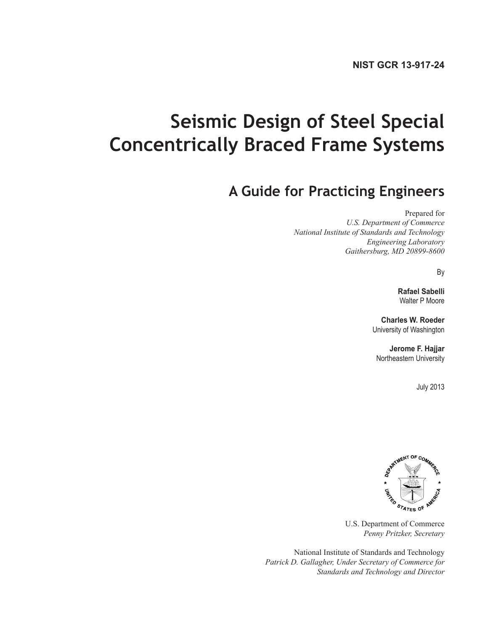# **Seismic Design of Steel Special Concentrically Braced Frame Systems**

## **A Guide for Practicing Engineers**

Prepared for

*U.S. Department of Commerce National Institute of Standards and Technology Engineering Laboratory Gaithersburg, MD 20899-8600*

By

**Rafael Sabelli**  Walter P Moore

**Charles W. Roeder** University of Washington

**Jerome F. Hajjar** Northeastern University

July 2013



U.S. Department of Commerce *Penny Pritzker, Secretary*

National Institute of Standards and Technology *Patrick D. Gallagher, Under Secretary of Commerce for Standards and Technology and Director*